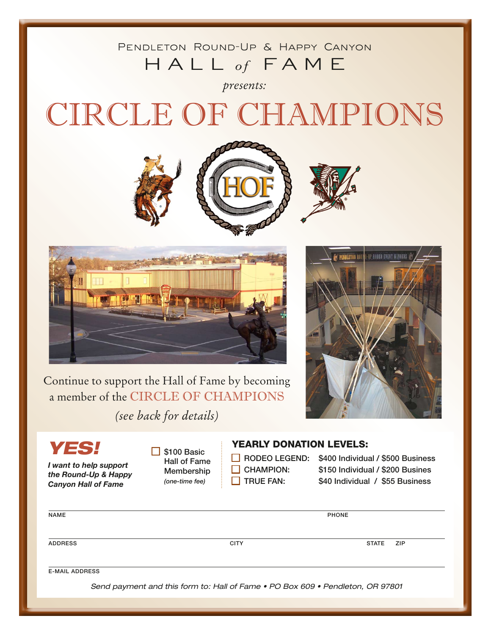### Pendleton Round-Up & Happy Canyon Hall *of* Fame

*presents:*

# CIRCLE OF CHAMPIONS





P RODEO EVENT WINNE PENDLETON ROY

Continue to support the Hall of Fame by becoming a member of the CIRCLE OF CHAMPIONS

*(see back for details)*

## *YES!*

*I want to help support the Round-Up & Happy Canyon Hall of Fame*

 $\Box$  \$100 Basic Hall of Fame Membership *(one-time fee)*

#### YEARLY DONATION LEVELS:

- 
- 
- 

 $\Box$  RODEO LEGEND: \$400 Individual / \$500 Business  $\Box$  CHAMPION:  $\Box$  \$150 Individual / \$200 Busines  $\Box$  TRUE FAN:  $\Box$  \$40 Individual / \$55 Business

| PHONE        |     |
|--------------|-----|
|              |     |
|              |     |
| <b>STATE</b> | ZIP |
|              |     |
|              |     |
|              |     |
|              |     |

Send payment and this form to: Hall of Fame • PO Box 609 • Pendleton, OR 97801